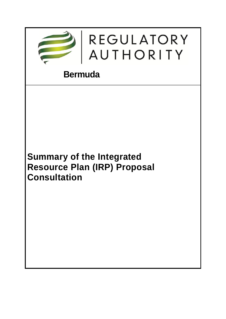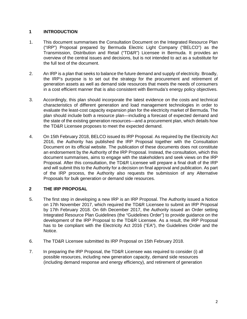## **1 INTRODUCTION**

- 1. This document summarises the Consultation Document on the Integrated Resource Plan ("IRP") Proposal prepared by Bermuda Electric Light Company ("BELCO") as the Transmission, Distribution and Retail ("TD&R") Licensee in Bermuda. It provides an overview of the central issues and decisions, but is not intended to act as a substitute for the full text of the document.
- 2. An IRP is a plan that seeks to balance the future demand and supply of electricity. Broadly, the IRP's purpose is to set out the strategy for the procurement and retirement of generation assets as well as demand side resources that meets the needs of consumers in a cost efficient manner that is also consistent with Bermuda's energy policy objectives.
- 3. Accordingly, this plan should incorporate the latest evidence on the costs and technical characteristics of different generation and load management technologies in order to evaluate the least-cost capacity expansion plan for the electricity market of Bermuda. The plan should include both a resource plan—including a forecast of expected demand and the state of the existing generation resources—and a procurement plan, which details how the TD&R Licensee proposes to meet the expected demand.
- 4. On 15th February 2018, BELCO issued its IRP Proposal. As required by the Electricity Act 2016, the Authority has published the IRP Proposal together with the Consultation Document on its official website. The publication of these documents does not constitute an endorsement by the Authority of the IRP Proposal. Instead, the consultation, which this document summarises, aims to engage with the stakeholders and seek views on the IRP Proposal. After this consultation, the TD&R Licensee will prepare a final draft of the IRP and will submit this to the Authority for a decision on final approval and publication. As part of the IRP process, the Authority also requests the submission of any Alternative Proposals for bulk generation or demand side resources.

## **2 THE IRP PROPOSAL**

- 5. The first step in developing a new IRP is an IRP Proposal. The Authority issued a Notice on 17th November 2017, which required the TD&R Licensee to submit an IRP Proposal by 17th February 2018. On 6th December 2017, the Authority issued an Order setting Integrated Resource Plan Guidelines (the "Guidelines Order") to provide guidance on the development of the IRP Proposal to the TD&R Licensee. As a result, the IRP Proposal has to be compliant with the Electricity Act 2016 ("EA"), the Guidelines Order and the Notice.
- 6. The TD&R Licensee submitted its IRP Proposal on 15th February 2018.
- 7. In preparing the IRP Proposal, the TD&R Licensee was required to consider (i) all possible resources, including new generation capacity, demand side resources (including demand response and energy efficiency), and retirement of generation